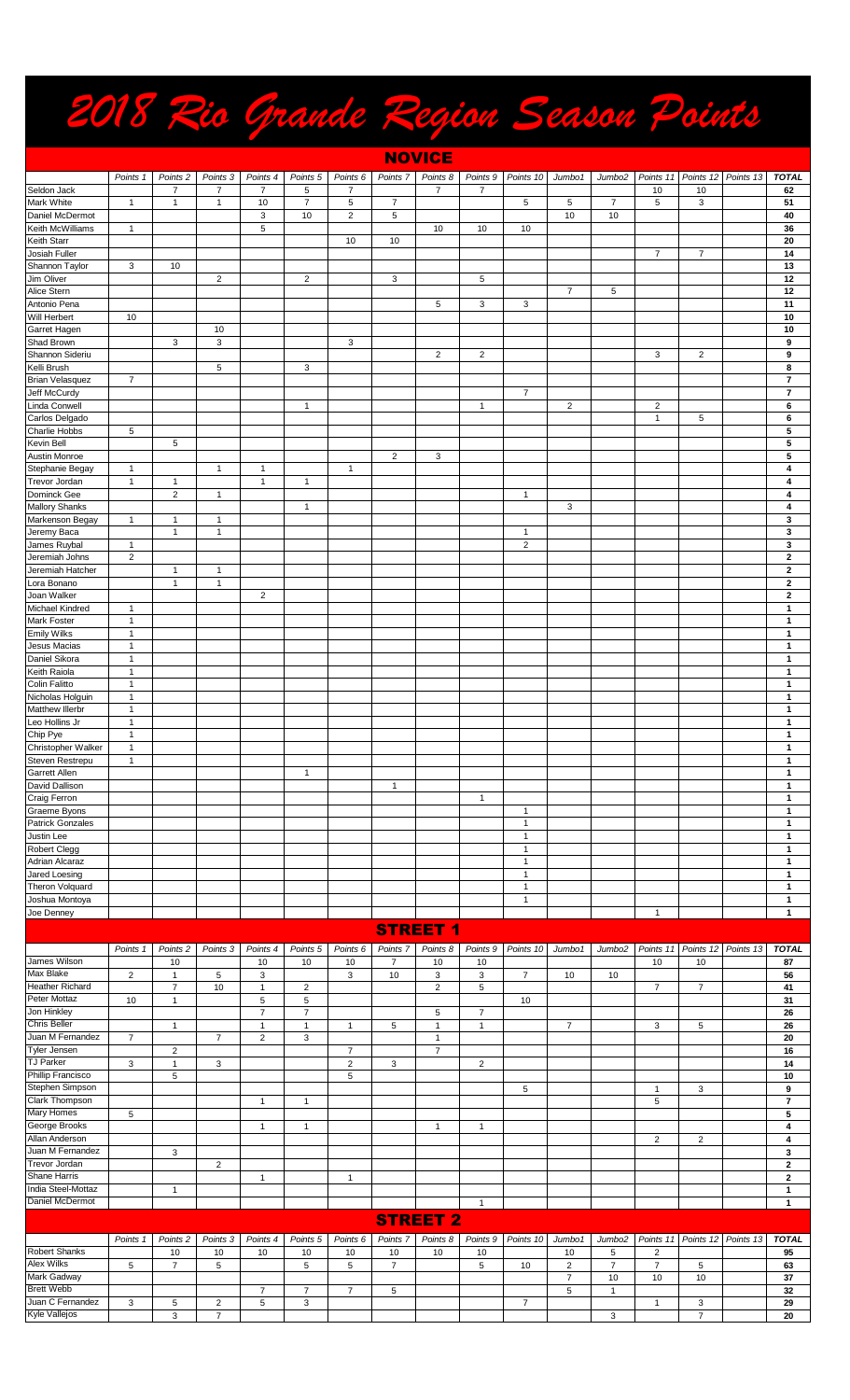## *2018 Rio Grande Region Season Points*

|                                       |                              |                     |                  |                                |                                |                |                     | <b>NOVICE</b>     |                                |                              |                         |                    |                |                     |           |                              |
|---------------------------------------|------------------------------|---------------------|------------------|--------------------------------|--------------------------------|----------------|---------------------|-------------------|--------------------------------|------------------------------|-------------------------|--------------------|----------------|---------------------|-----------|------------------------------|
|                                       | Points 1                     | Points <sub>2</sub> | Points 3         | Points 4                       | Points 5                       | Points 6       | Points <sub>7</sub> | Points 8          |                                | Points 9 Points 10           | Jumbo1                  | Jumbo2             | Points 11      | Points 12 Points 13 |           | <b>TOTAL</b>                 |
| Seldon Jack                           |                              | $\overline{7}$      | $\overline{7}$   | $\overline{7}$                 | 5                              | $\overline{7}$ |                     | $\overline{7}$    | $\overline{7}$                 |                              |                         |                    | 10             | 10                  |           | 62                           |
| Mark White                            | 1                            | $\mathbf{1}$        | $\mathbf{1}$     | 10                             | $\overline{7}$                 | 5              | $\overline{7}$      |                   |                                | 5                            | 5                       | $\overline{7}$     | 5              | 3                   |           | 51                           |
| Daniel McDermot                       |                              |                     |                  | 3                              | 10                             | $\overline{c}$ | 5                   |                   |                                |                              | 10                      | 10                 |                |                     |           | 40                           |
| Keith McWilliams                      | 1                            |                     |                  | 5                              |                                |                |                     | 10                | 10                             | 10                           |                         |                    |                |                     |           | 36                           |
| Keith Starr<br>Josiah Fuller          |                              |                     |                  |                                |                                | 10             | 10                  |                   |                                |                              |                         |                    | $\overline{7}$ | $\overline{7}$      |           | 20<br>14                     |
| Shannon Taylor                        | 3                            | 10                  |                  |                                |                                |                |                     |                   |                                |                              |                         |                    |                |                     |           | 13                           |
| Jim Oliver                            |                              |                     | $\overline{c}$   |                                | $\overline{2}$                 |                | 3                   |                   | 5                              |                              |                         |                    |                |                     |           | 12                           |
| Alice Stern                           |                              |                     |                  |                                |                                |                |                     |                   |                                |                              | $\overline{7}$          | 5                  |                |                     |           | 12                           |
| Antonio Pena                          |                              |                     |                  |                                |                                |                |                     | 5                 | 3                              | 3                            |                         |                    |                |                     |           | 11                           |
| Will Herbert                          | 10                           |                     |                  |                                |                                |                |                     |                   |                                |                              |                         |                    |                |                     |           | 10                           |
| Garret Hagen                          |                              |                     | 10               |                                |                                |                |                     |                   |                                |                              |                         |                    |                |                     |           | 10                           |
| Shad Brown                            |                              | 3                   | 3                |                                |                                | 3              |                     |                   |                                |                              |                         |                    |                |                     |           | 9                            |
| Shannon Sideriu<br>Kelli Brush        |                              |                     | 5                |                                | 3                              |                |                     | $\overline{c}$    | $\overline{\mathbf{c}}$        |                              |                         |                    | 3              | 2                   |           | 9<br>8                       |
| <b>Brian Velasquez</b>                | 7                            |                     |                  |                                |                                |                |                     |                   |                                |                              |                         |                    |                |                     |           | 7                            |
| Jeff McCurdy                          |                              |                     |                  |                                |                                |                |                     |                   |                                | 7                            |                         |                    |                |                     |           | 7                            |
| Linda Conwell                         |                              |                     |                  |                                | $\mathbf{1}$                   |                |                     |                   | $\mathbf{1}$                   |                              | $\overline{\mathbf{c}}$ |                    | $\overline{c}$ |                     |           | 6                            |
| Carlos Delgado                        |                              |                     |                  |                                |                                |                |                     |                   |                                |                              |                         |                    | $\mathbf{1}$   | 5                   |           | 6                            |
| Charlie Hobbs                         | 5                            |                     |                  |                                |                                |                |                     |                   |                                |                              |                         |                    |                |                     |           | 5                            |
| Kevin Bell                            |                              | 5                   |                  |                                |                                |                |                     |                   |                                |                              |                         |                    |                |                     |           | 5                            |
| Austin Monroe                         |                              |                     |                  |                                |                                |                | $\overline{2}$      | 3                 |                                |                              |                         |                    |                |                     |           | 5                            |
| Stephanie Begay<br>Trevor Jordan      | $\mathbf{1}$<br>$\mathbf{1}$ | $\mathbf{1}$        | $\overline{1}$   | $\mathbf{1}$<br>$\mathbf{1}$   | $\mathbf{1}$                   | $\mathbf{1}$   |                     |                   |                                |                              |                         |                    |                |                     |           | 4<br>4                       |
| Dominck Gee                           |                              | $\overline{c}$      | $\mathbf{1}$     |                                |                                |                |                     |                   |                                | $\mathbf{1}$                 |                         |                    |                |                     |           | 4                            |
| <b>Mallory Shanks</b>                 |                              |                     |                  |                                | $\mathbf{1}$                   |                |                     |                   |                                |                              | 3                       |                    |                |                     |           | 4                            |
| Markenson Begay                       | 1                            | 1                   | $\overline{1}$   |                                |                                |                |                     |                   |                                |                              |                         |                    |                |                     |           | 3                            |
| Jeremy Baca                           |                              | $\mathbf{1}$        | $\mathbf{1}$     |                                |                                |                |                     |                   |                                | $\mathbf{1}$                 |                         |                    |                |                     |           | 3                            |
| James Ruybal                          | 1                            |                     |                  |                                |                                |                |                     |                   |                                | $\overline{\mathbf{c}}$      |                         |                    |                |                     |           | 3                            |
| Jeremiah Johns                        | $\overline{2}$               |                     |                  |                                |                                |                |                     |                   |                                |                              |                         |                    |                |                     |           | $\mathbf{2}$                 |
| Jeremiah Hatcher                      |                              | $\mathbf{1}$        | $\overline{1}$   |                                |                                |                |                     |                   |                                |                              |                         |                    |                |                     |           | 2                            |
| Lora Bonano<br>Joan Walker            |                              | $\mathbf{1}$        | $\mathbf{1}$     |                                |                                |                |                     |                   |                                |                              |                         |                    |                |                     |           | $\mathbf{2}$                 |
| Michael Kindred                       | $\mathbf{1}$                 |                     |                  | $\overline{c}$                 |                                |                |                     |                   |                                |                              |                         |                    |                |                     |           | $\mathbf{2}$<br>$\mathbf{1}$ |
| Mark Foster                           | $\mathbf{1}$                 |                     |                  |                                |                                |                |                     |                   |                                |                              |                         |                    |                |                     |           | $\mathbf{1}$                 |
| <b>Emily Wilks</b>                    | $\mathbf{1}$                 |                     |                  |                                |                                |                |                     |                   |                                |                              |                         |                    |                |                     |           | $\mathbf{1}$                 |
| Jesus Macias                          | $\mathbf{1}$                 |                     |                  |                                |                                |                |                     |                   |                                |                              |                         |                    |                |                     |           | $\mathbf{1}$                 |
| Daniel Sikora                         | $\mathbf{1}$                 |                     |                  |                                |                                |                |                     |                   |                                |                              |                         |                    |                |                     |           | $\mathbf{1}$                 |
| Keith Raiola                          | $\mathbf{1}$                 |                     |                  |                                |                                |                |                     |                   |                                |                              |                         |                    |                |                     |           | 1                            |
| Colin Falitto                         | $\mathbf{1}$                 |                     |                  |                                |                                |                |                     |                   |                                |                              |                         |                    |                |                     |           | 1                            |
| Nicholas Holguin                      | 1<br>$\mathbf{1}$            |                     |                  |                                |                                |                |                     |                   |                                |                              |                         |                    |                |                     |           | 1                            |
| Matthew Illerbr<br>Leo Hollins Jr     | $\mathbf{1}$                 |                     |                  |                                |                                |                |                     |                   |                                |                              |                         |                    |                |                     |           | 1<br>$\mathbf{1}$            |
| Chip Pye                              | $\mathbf{1}$                 |                     |                  |                                |                                |                |                     |                   |                                |                              |                         |                    |                |                     |           | 1                            |
| Christopher Walker                    | $\mathbf{1}$                 |                     |                  |                                |                                |                |                     |                   |                                |                              |                         |                    |                |                     |           | 1                            |
| Steven Restrepu                       | $\mathbf{1}$                 |                     |                  |                                |                                |                |                     |                   |                                |                              |                         |                    |                |                     |           | 1                            |
| Garrett Allen                         |                              |                     |                  |                                | $\mathbf{1}$                   |                |                     |                   |                                |                              |                         |                    |                |                     |           | 1                            |
| David Dallison                        |                              |                     |                  |                                |                                |                | $\mathbf{1}$        |                   |                                |                              |                         |                    |                |                     |           | $\mathbf{1}$                 |
| Craig Ferron                          |                              |                     |                  |                                |                                |                |                     |                   | $\mathbf{1}$                   |                              |                         |                    |                |                     |           | $\mathbf{1}$                 |
| Graeme Byons                          |                              |                     |                  |                                |                                |                |                     |                   |                                | $\mathbf{1}$<br>$\mathbf{1}$ |                         |                    |                |                     |           | $\mathbf{1}$<br>$\mathbf{1}$ |
| <b>Patrick Gonzales</b><br>Justin Lee |                              |                     |                  |                                |                                |                |                     |                   |                                | 1                            |                         |                    |                |                     |           | 1                            |
| <b>Robert Clegg</b>                   |                              |                     |                  |                                |                                |                |                     |                   |                                | $\mathbf{1}$                 |                         |                    |                |                     |           | $\mathbf{1}$                 |
| Adrian Alcaraz                        |                              |                     |                  |                                |                                |                |                     |                   |                                | $\mathbf{1}$                 |                         |                    |                |                     |           | 1                            |
| Jared Loesing                         |                              |                     |                  |                                |                                |                |                     |                   |                                | $\mathbf{1}$                 |                         |                    |                |                     |           | $\mathbf{1}$                 |
| Theron Volquard                       |                              |                     |                  |                                |                                |                |                     |                   |                                | $\mathbf{1}$                 |                         |                    |                |                     |           | 1                            |
| Joshua Montoya                        |                              |                     |                  |                                |                                |                |                     |                   |                                | $\mathbf{1}$                 |                         |                    |                |                     |           | $\mathbf{1}$                 |
| Joe Denney                            |                              |                     |                  |                                |                                |                |                     |                   |                                |                              |                         |                    | $\mathbf{1}$   |                     |           | $\mathbf{1}$                 |
|                                       |                              |                     |                  |                                |                                |                |                     | <b>STREET 1</b>   |                                |                              |                         |                    |                |                     |           |                              |
|                                       | Points 1                     | Points <sub>2</sub> | Points 3         | Points 4                       | Points 5                       | Points 6       | Points 7            | Points 8          | Points 9                       | Points 10                    | Jumbo1                  | Jumbo <sub>2</sub> | Points 11      | Points 12           | Points 13 | <b>TOTAL</b>                 |
| James Wilson                          |                              | 10                  |                  | 10                             | 10                             | 10             | 7                   | 10                | 10                             |                              |                         |                    | 10             | 10                  |           | 87                           |
| Max Blake                             | $\overline{2}$               | $\mathbf{1}$        | 5                | 3                              |                                | 3              | 10                  | 3                 | 3                              | $\overline{7}$               | 10                      | 10                 |                |                     |           | 56                           |
| Heather Richard                       |                              | $\overline{7}$      | 10               | $\mathbf{1}$                   | $\overline{\mathbf{c}}$        |                |                     | $\overline{c}$    | 5                              |                              |                         |                    | $\overline{7}$ | $\overline{7}$      |           | 41                           |
| Peter Mottaz<br>Jon Hinkley           | 10                           | $\mathbf{1}$        |                  | 5                              | 5                              |                |                     |                   |                                | 10                           |                         |                    |                |                     |           | 31                           |
| Chris Beller                          |                              | $\mathbf{1}$        |                  | $\overline{7}$<br>$\mathbf{1}$ | $\overline{7}$<br>$\mathbf{1}$ | $\mathbf{1}$   | 5                   | 5<br>$\mathbf{1}$ | $\overline{7}$<br>$\mathbf{1}$ |                              | $\overline{7}$          |                    | 3              | $\sqrt{5}$          |           | 26<br>26                     |
| Juan M Fernandez                      | $\overline{7}$               |                     | $\boldsymbol{7}$ | $\overline{\mathbf{c}}$        | 3                              |                |                     | $\mathbf{1}$      |                                |                              |                         |                    |                |                     |           | 20                           |
| <b>Tyler Jensen</b>                   |                              | $\overline{2}$      |                  |                                |                                | $\overline{7}$ |                     | $\overline{7}$    |                                |                              |                         |                    |                |                     |           | 16                           |

|                          |          |          |                | ▵ | ັ                 |                |          |                 |                |                                          |                    |   |                |                               | ΖU           |
|--------------------------|----------|----------|----------------|---|-------------------|----------------|----------|-----------------|----------------|------------------------------------------|--------------------|---|----------------|-------------------------------|--------------|
| <b>Tyler Jensen</b>      |          | 2        |                |   |                   | –              |          | $\rightarrow$   |                |                                          |                    |   |                |                               | 16           |
| <b>TJ Parker</b>         | 3        |          | 3              |   |                   | $\overline{2}$ | 3        |                 | $\overline{2}$ |                                          |                    |   |                |                               | 14           |
| <b>Phillip Francisco</b> |          | 5        |                |   |                   | 5              |          |                 |                |                                          |                    |   |                |                               | 10           |
| Stephen Simpson          |          |          |                |   |                   |                |          |                 |                | 5                                        |                    |   | 3              |                               | 9            |
| <b>Clark Thompson</b>    |          |          |                |   |                   |                |          |                 |                |                                          |                    | 5 |                |                               |              |
| <b>Mary Homes</b>        | 5        |          |                |   |                   |                |          |                 |                |                                          |                    |   |                |                               | 5            |
| George Brooks            |          |          |                |   |                   |                |          |                 |                |                                          |                    |   |                |                               |              |
| Allan Anderson           |          |          |                |   |                   |                |          |                 |                |                                          |                    | 2 | $\overline{2}$ |                               |              |
| Juan M Fernandez         |          | 3        |                |   |                   |                |          |                 |                |                                          |                    |   |                |                               | 3            |
| Trevor Jordan            |          |          | $\overline{2}$ |   |                   |                |          |                 |                |                                          |                    |   |                |                               |              |
| <b>Shane Harris</b>      |          |          |                |   |                   |                |          |                 |                |                                          |                    |   |                |                               |              |
| India Steel-Mottaz       |          |          |                |   |                   |                |          |                 |                |                                          |                    |   |                |                               |              |
| Daniel McDermot          |          |          |                |   |                   |                |          |                 |                |                                          |                    |   |                |                               |              |
|                          |          |          |                |   |                   |                |          | <b>STREET 2</b> |                |                                          |                    |   |                |                               |              |
|                          | Points 1 | Points 2 | Points 3       |   | Points 4 Points 5 | Points 6       | Points 7 |                 |                | Points 8   Points 9   Points 10   Jumbo1 | Jumbo <sub>2</sub> |   |                | Points 11 Points 12 Points 13 | <b>TOTAL</b> |

|                      | Points <sup>3</sup> | Points <sub>2</sub> | Points 3 | Points 4 | Points 5 | Points 6 | Points <sub>7</sub> |    |    | Points 8 Points 9 Points 10 | Jumbo1 |    |    |    | Jumbo2 Points 11 Points 12 Points 13 TOTAL |    |
|----------------------|---------------------|---------------------|----------|----------|----------|----------|---------------------|----|----|-----------------------------|--------|----|----|----|--------------------------------------------|----|
| <b>Robert Shanks</b> |                     | 10                  | 10       | 10       | 10       | 10       | 10                  | 10 | 10 |                             | 10     |    |    |    |                                            | 95 |
| Alex Wilks           |                     |                     |          |          |          |          |                     |    |    | 10                          |        |    |    |    |                                            | 63 |
| Mark Gadway          |                     |                     |          |          |          |          |                     |    |    |                             |        | 10 | 10 | 10 |                                            | 37 |
| <b>Brett Webb</b>    |                     |                     |          |          |          |          |                     |    |    |                             |        |    |    |    |                                            | 32 |
| Juan C Fernandez     | ю                   |                     |          |          |          |          |                     |    |    |                             |        |    |    |    |                                            | 29 |
| Kyle Vallejos        |                     |                     |          |          |          |          |                     |    |    |                             |        |    |    |    |                                            | 20 |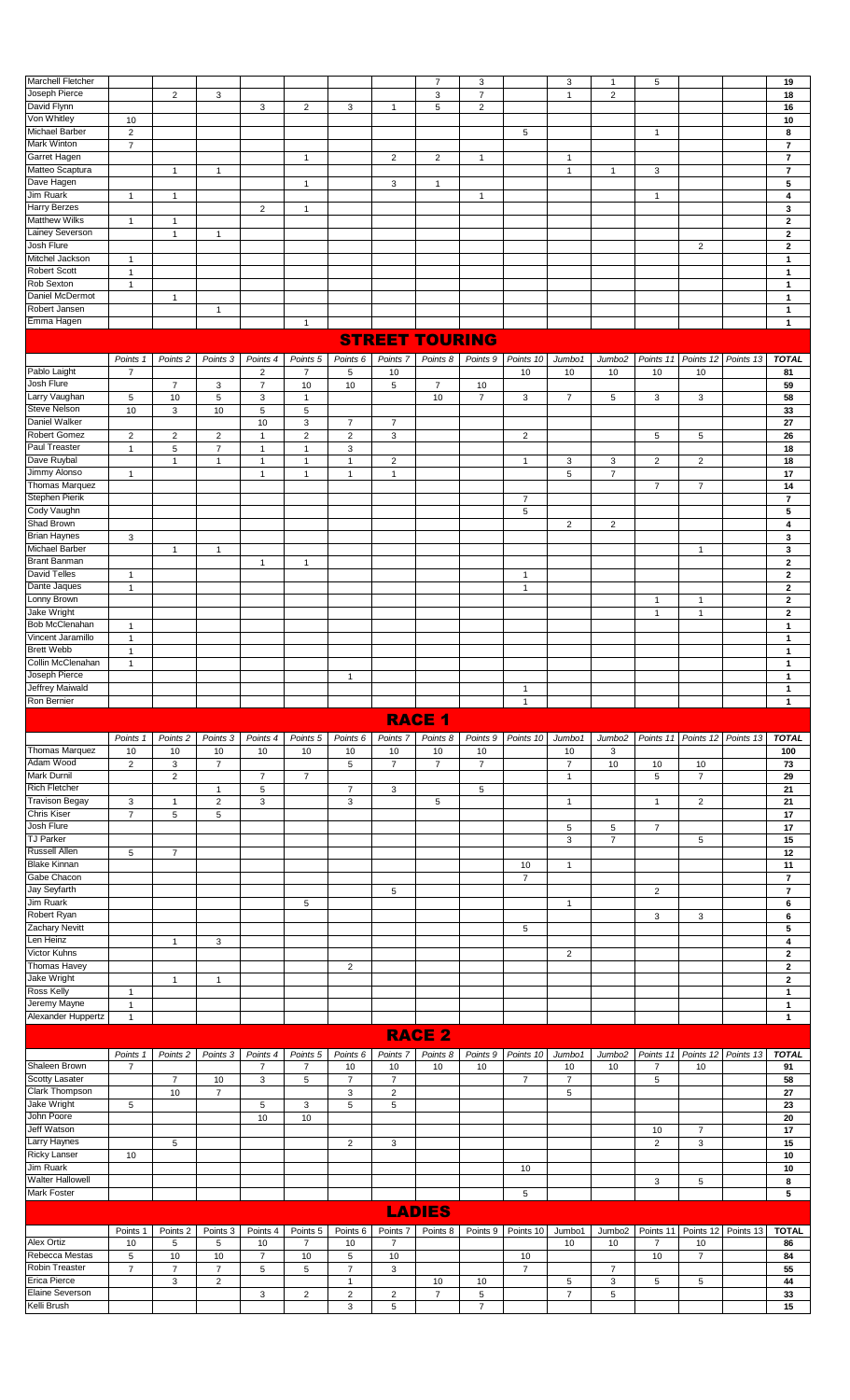| <b>Marchell Fletcher</b> |                |   |   |   |   |   |   | $\overline{ }$ | 3              |   | 3  |   | 5 |   | 19                       |
|--------------------------|----------------|---|---|---|---|---|---|----------------|----------------|---|----|---|---|---|--------------------------|
| Joseph Pierce            |                | 2 | 3 |   |   |   |   | 3              | $\overline{ }$ |   |    | 2 |   |   | 18                       |
| David Flynn              |                |   |   | 3 | 2 | 3 |   | 5              | $\overline{2}$ |   |    |   |   |   | 16                       |
| Von Whitley              | 10             |   |   |   |   |   |   |                |                |   |    |   |   |   | 10                       |
| Michael Barber           | 2              |   |   |   |   |   |   |                |                | 5 |    |   |   |   | 8                        |
| <b>Mark Winton</b>       | $\overline{ }$ |   |   |   |   |   |   |                |                |   |    |   |   |   | $\overline{\phantom{a}}$ |
| Garret Hagen             |                |   |   |   |   |   | 2 | 2              |                |   | -4 |   |   |   | $\overline{7}$           |
| Matteo Scaptura          |                |   |   |   |   |   |   |                |                |   |    |   | 3 |   | $\overline{\phantom{a}}$ |
| Dave Hagen               |                |   |   |   |   |   | 3 |                |                |   |    |   |   |   | 5                        |
| Jim Ruark                |                |   |   |   |   |   |   |                |                |   |    |   |   |   | 4                        |
| <b>Harry Berzes</b>      |                |   |   | 2 |   |   |   |                |                |   |    |   |   |   | 3                        |
| <b>Matthew Wilks</b>     |                |   |   |   |   |   |   |                |                |   |    |   |   |   | $\overline{2}$           |
| Lainey Severson          |                |   |   |   |   |   |   |                |                |   |    |   |   |   | $\mathbf{2}$             |
| Josh Flure               |                |   |   |   |   |   |   |                |                |   |    |   |   | 2 | $\mathbf{2}$             |
| Mitchel Jackson          | ٠              |   |   |   |   |   |   |                |                |   |    |   |   |   |                          |
| <b>Robert Scott</b>      |                |   |   |   |   |   |   |                |                |   |    |   |   |   |                          |
| Rob Sexton               | 4              |   |   |   |   |   |   |                |                |   |    |   |   |   |                          |
| Daniel McDermot          |                |   |   |   |   |   |   |                |                |   |    |   |   |   |                          |
| Robert Jansen            |                |   |   |   |   |   |   |                |                |   |    |   |   |   |                          |
| Emma Hagen               |                |   |   |   |   |   |   |                |                |   |    |   |   |   |                          |

## STREET TOURING

|                       | Points 1       | Points <sub>2</sub> | Points 3       | Points 4                 | Points 5       | Points 6       | Points <sub>7</sub> | Points 8       |                | Points 9 Points 10 | Jumbo1          | Jumbo2         |                |                | Points 11   Points 12   Points 13 | <b>TOTAL</b>   |
|-----------------------|----------------|---------------------|----------------|--------------------------|----------------|----------------|---------------------|----------------|----------------|--------------------|-----------------|----------------|----------------|----------------|-----------------------------------|----------------|
| Pablo Laight          | $\overline{7}$ |                     |                | 2                        | $\overline{7}$ | 5              | 10                  |                |                | 10 <sup>°</sup>    | 10 <sup>°</sup> | 10             | 10             | 10             |                                   | 81             |
| Josh Flure            |                | $\overline{7}$      | 3              | $\overline{7}$           | 10             | 10             | 5                   | $\overline{7}$ | 10             |                    |                 |                |                |                |                                   | 59             |
| Larry Vaughan         | 5              | 10                  | 5              | 3                        |                |                |                     | 10             | $\overline{7}$ | 3                  | $\overline{7}$  | 5              | 3              | 3              |                                   | 58             |
| Steve Nelson          | 10             | 3                   | 10             | 5                        | 5              |                |                     |                |                |                    |                 |                |                |                |                                   | 33             |
| Daniel Walker         |                |                     |                | 10                       | 3              | $\overline{7}$ | $\overline{7}$      |                |                |                    |                 |                |                |                |                                   | 27             |
| Robert Gomez          | $\overline{2}$ | $\overline{2}$      | $\overline{2}$ | $\overline{ }$           | 2              | $\overline{2}$ | 3                   |                |                | $\overline{2}$     |                 |                | 5              | 5              |                                   | 26             |
| Paul Treaster         | $\overline{1}$ | 5                   | $\overline{7}$ | $\overline{1}$           | $\overline{ }$ | 3              |                     |                |                |                    |                 |                |                |                |                                   | 18             |
| Dave Ruybal           |                | $\mathbf{1}$        | $\mathbf{1}$   | $\overline{\phantom{a}}$ |                | 1              | $\overline{2}$      |                |                | 1                  | 3               | 3              | $\overline{2}$ | 2              |                                   | 18             |
| Jimmy Alonso          | $\overline{1}$ |                     |                | $\overline{ }$           |                |                | 1                   |                |                |                    | 5               | $\overline{7}$ |                |                |                                   | 17             |
| <b>Thomas Marquez</b> |                |                     |                |                          |                |                |                     |                |                |                    |                 |                | $\overline{7}$ | $\overline{7}$ |                                   | 14             |
| Stephen Pierik        |                |                     |                |                          |                |                |                     |                |                | $\overline{7}$     |                 |                |                |                |                                   | 7              |
| Cody Vaughn           |                |                     |                |                          |                |                |                     |                |                | 5                  |                 |                |                |                |                                   | 5              |
| Shad Brown            |                |                     |                |                          |                |                |                     |                |                |                    | $\overline{2}$  | $\overline{2}$ |                |                |                                   | 4              |
| <b>Brian Haynes</b>   | 3              |                     |                |                          |                |                |                     |                |                |                    |                 |                |                |                |                                   | 3              |
| Michael Barber        |                | $\mathbf{1}$        | 1              |                          |                |                |                     |                |                |                    |                 |                |                | 1              |                                   | 3              |
| <b>Brant Banman</b>   |                |                     |                | $\overline{1}$           | $\overline{1}$ |                |                     |                |                |                    |                 |                |                |                |                                   | $\mathbf{2}$   |
| <b>David Telles</b>   | 1              |                     |                |                          |                |                |                     |                |                | 1                  |                 |                |                |                |                                   | $\mathbf{2}$   |
| Dante Jaques          | 1              |                     |                |                          |                |                |                     |                |                | $\mathbf{1}$       |                 |                |                |                |                                   | $\overline{2}$ |
| Lonny Brown           |                |                     |                |                          |                |                |                     |                |                |                    |                 |                | 1              | $\overline{1}$ |                                   | $\overline{2}$ |
| Jake Wright           |                |                     |                |                          |                |                |                     |                |                |                    |                 |                | 1              | 1              |                                   | $\mathbf 2$    |
| <b>Bob McClenahan</b> | $\overline{1}$ |                     |                |                          |                |                |                     |                |                |                    |                 |                |                |                |                                   | $\mathbf{1}$   |
| Vincent Jaramillo     | $\overline{ }$ |                     |                |                          |                |                |                     |                |                |                    |                 |                |                |                |                                   | 1              |
| <b>Brett Webb</b>     | $\overline{ }$ |                     |                |                          |                |                |                     |                |                |                    |                 |                |                |                |                                   | 1              |
| Collin McClenahan     | $\overline{1}$ |                     |                |                          |                |                |                     |                |                |                    |                 |                |                |                |                                   | 1              |
| Joseph Pierce         |                |                     |                |                          |                | 1              |                     |                |                |                    |                 |                |                |                |                                   | 1              |
| Jeffrey Maiwald       |                |                     |                |                          |                |                |                     |                |                | $\overline{1}$     |                 |                |                |                |                                   | 1              |
| Ron Bernier           |                |                     |                |                          |                |                |                     |                |                | $\mathbf{1}$       |                 |                |                |                |                                   | 1              |

|                       |                |                     |                         |                |                |                     |                | <b>RACE 1</b>  |                |                |                |                    |                |                |                     |                |
|-----------------------|----------------|---------------------|-------------------------|----------------|----------------|---------------------|----------------|----------------|----------------|----------------|----------------|--------------------|----------------|----------------|---------------------|----------------|
|                       | Points 1       | Points <sub>2</sub> | Points 3                | Points 4       | Points 5       | Points <sub>6</sub> | Points 7       | Points 8       | Points 9       | Points 10      | Jumbo1         | Jumbo <sub>2</sub> | Points 11      |                | Points 12 Points 13 | <b>TOTAL</b>   |
| Thomas Marquez        | 10             | 10                  | 10                      | 10             | 10             | 10                  | 10             | 10             | 10             |                | 10             | 3                  |                |                |                     | 100            |
| Adam Wood             | $\overline{2}$ | 3                   | $\overline{7}$          |                |                | 5                   | $\overline{7}$ | $\overline{7}$ | $\overline{7}$ |                | 7              | 10                 | 10             | 10             |                     | 73             |
| <b>Mark Durnil</b>    |                | 2                   |                         | $\overline{7}$ | $\overline{7}$ |                     |                |                |                |                | и              |                    | 5              | $\overline{7}$ |                     | 29             |
| <b>Rich Fletcher</b>  |                |                     | $\overline{ }$          | 5              |                | $\overline{7}$      | 3              |                | 5              |                |                |                    |                |                |                     | 21             |
| <b>Travison Begay</b> | 3              | $\overline{1}$      | $\overline{2}$          | 3              |                | 3                   |                | 5              |                |                | $\overline{1}$ |                    | 1              | 2              |                     | 21             |
| <b>Chris Kiser</b>    | $\overline{7}$ | 5                   | 5                       |                |                |                     |                |                |                |                |                |                    |                |                |                     | 17             |
| Josh Flure            |                |                     |                         |                |                |                     |                |                |                |                | 5              | 5                  | $\overline{7}$ |                |                     | 17             |
| <b>TJ Parker</b>      |                |                     |                         |                |                |                     |                |                |                |                | 3              | $\overline{7}$     |                | 5              |                     | 15             |
| Russell Allen         | 5              | $\overline{7}$      |                         |                |                |                     |                |                |                |                |                |                    |                |                |                     | 12             |
| <b>Blake Kinnan</b>   |                |                     |                         |                |                |                     |                |                |                | 10             | -1             |                    |                |                |                     | 11             |
| Gabe Chacon           |                |                     |                         |                |                |                     |                |                |                | $\overline{7}$ |                |                    |                |                |                     | $\overline{7}$ |
| Jay Seyfarth          |                |                     |                         |                |                |                     | 5              |                |                |                |                |                    | $\overline{2}$ |                |                     | $\overline{7}$ |
| Jim Ruark             |                |                     |                         |                | 5              |                     |                |                |                |                | -1             |                    |                |                |                     | 6              |
| Robert Ryan           |                |                     |                         |                |                |                     |                |                |                |                |                |                    | 3              | 3              |                     | 6              |
| <b>Zachary Nevitt</b> |                |                     |                         |                |                |                     |                |                |                | 5              |                |                    |                |                |                     | 5              |
| Len Heinz             |                | 1                   | 3                       |                |                |                     |                |                |                |                |                |                    |                |                |                     | 4              |
| <b>Victor Kuhns</b>   |                |                     |                         |                |                |                     |                |                |                |                | $\overline{2}$ |                    |                |                |                     | $\mathbf{2}$   |
| <b>Thomas Havey</b>   |                |                     |                         |                |                | 2                   |                |                |                |                |                |                    |                |                |                     | $\mathbf{2}$   |
| Jake Wright           |                | 1                   | $\overline{\mathbf{1}}$ |                |                |                     |                |                |                |                |                |                    |                |                |                     | $\mathbf{2}$   |
| Ross Kelly            | 1              |                     |                         |                |                |                     |                |                |                |                |                |                    |                |                |                     | 1              |
| Jeremy Mayne          | $\mathbf{1}$   |                     |                         |                |                |                     |                |                |                |                |                |                    |                |                |                     | 1              |
| Alexander Huppertz    | 1              |                     |                         |                |                |                     |                |                |                |                |                |                    |                |                |                     | $\mathbf{1}$   |

|                         |                |                     |                |                |          |                     |                     | <b>RACE 2</b>  |                     |                |        |                    |                |                |           |              |
|-------------------------|----------------|---------------------|----------------|----------------|----------|---------------------|---------------------|----------------|---------------------|----------------|--------|--------------------|----------------|----------------|-----------|--------------|
|                         | Points         | Points <sub>2</sub> | Points 3       | Points 4       | Points 5 | Points <sub>6</sub> | Points <sub>7</sub> | Points 8       | Points <sub>9</sub> | Points 10      | Jumbo1 | Jumbo <sub>2</sub> | Points 11      | Points 12      | Points 13 | <b>TOTAL</b> |
| Shaleen Brown           | 7              |                     |                | 7              | 7        | 10                  | 10                  | 10             | 10                  |                | 10     | 10                 | $\overline{7}$ | 10             |           | 91           |
| Scotty Lasater          |                | $\overline{7}$      | 10             | 3              | 5        | $\overline{ }$      | $\overline{7}$      |                |                     | $\overline{7}$ | ⇁      |                    | 5              |                |           | 58           |
| <b>Clark Thompson</b>   |                | 10                  | $\overline{7}$ |                |          | 3                   | $\overline{2}$      |                |                     |                | 5      |                    |                |                |           | 27           |
| Jake Wright             | 5              |                     |                | 5              | 3        | 5                   | 5                   |                |                     |                |        |                    |                |                |           | 23           |
| John Poore              |                |                     |                | 10             | 10       |                     |                     |                |                     |                |        |                    |                |                |           | 20           |
| Jeff Watson             |                |                     |                |                |          |                     |                     |                |                     |                |        |                    | 10             | $\overline{7}$ |           | 17           |
| <b>Larry Haynes</b>     |                | 5                   |                |                |          | 2                   | 3                   |                |                     |                |        |                    | 2              | 3              |           | 15           |
| <b>Ricky Lanser</b>     | 10             |                     |                |                |          |                     |                     |                |                     |                |        |                    |                |                |           | 10           |
| Jim Ruark               |                |                     |                |                |          |                     |                     |                |                     | 10             |        |                    |                |                |           | 10           |
| <b>Walter Hallowell</b> |                |                     |                |                |          |                     |                     |                |                     |                |        |                    | 3              | 5              |           | 8            |
| <b>Mark Foster</b>      |                |                     |                |                |          |                     |                     |                |                     | 5              |        |                    |                |                |           | 5            |
|                         |                |                     |                |                |          |                     |                     | <b>LADIES</b>  |                     |                |        |                    |                |                |           |              |
|                         | Points '       | Points <sub>2</sub> | Points 3       | Points 4       | Points 5 | Points <sub>6</sub> | Points 7            | Points 8       | Points 9            | Points 10      | Jumbo1 | Jumbo2             | Points 11      | Points 12      | Points 13 | <b>TOTAL</b> |
| Alex Ortiz              | 10             | 5                   | 5              | 10             | 7        | 10                  | $\overline{7}$      |                |                     |                | 10     | 10                 | $\overline{7}$ | 10             |           | 86           |
| Rebecca Mestas          | 5              | 10                  | 10             | $\overline{7}$ | 10       | 5                   | 10                  |                |                     | 10             |        |                    | 10             | $\overline{7}$ |           | 84           |
| <b>Robin Treaster</b>   | $\overline{7}$ | $\overline{7}$      | $\overline{7}$ | 5              | 5        | 7                   | 3                   |                |                     | $\overline{7}$ |        | $\overline{ }$     |                |                |           | 55           |
| <b>Erica Pierce</b>     |                | 3                   | $\overline{2}$ |                |          |                     |                     | 10             | 10                  |                | 5      | 3                  | 5              | 5              |           | 44           |
| Elaine Severson         |                |                     |                | 3              | 2        | $\overline{2}$      | $\overline{2}$      | $\overline{7}$ | 5                   |                | 7      | 5                  |                |                |           | 33           |
| Kelli Brush             |                |                     |                |                |          | 3                   | 5                   |                | $\overline{ }$      |                |        |                    |                |                |           | 15           |